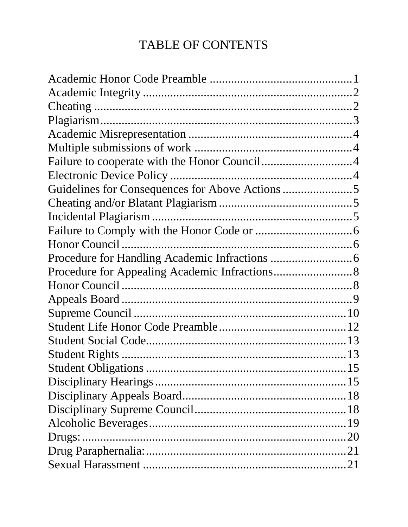# **TABLE OF CONTENTS**

| Guidelines for Consequences for Above Actions 5 |  |
|-------------------------------------------------|--|
|                                                 |  |
|                                                 |  |
|                                                 |  |
|                                                 |  |
|                                                 |  |
|                                                 |  |
|                                                 |  |
|                                                 |  |
|                                                 |  |
|                                                 |  |
|                                                 |  |
|                                                 |  |
|                                                 |  |
|                                                 |  |
|                                                 |  |
|                                                 |  |
|                                                 |  |
|                                                 |  |
|                                                 |  |
|                                                 |  |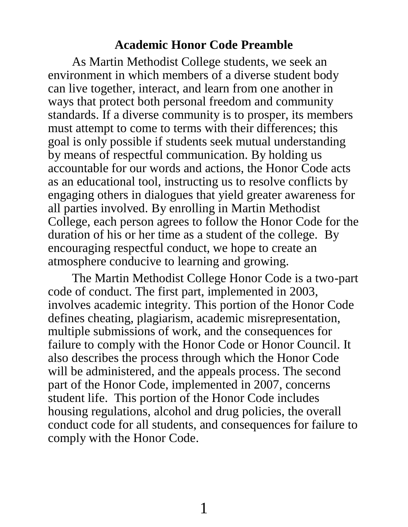#### **Academic Honor Code Preamble**

<span id="page-2-0"></span>As Martin Methodist College students, we seek an environment in which members of a diverse student body can live together, interact, and learn from one another in ways that protect both personal freedom and community standards. If a diverse community is to prosper, its members must attempt to come to terms with their differences; this goal is only possible if students seek mutual understanding by means of respectful communication. By holding us accountable for our words and actions, the Honor Code acts as an educational tool, instructing us to resolve conflicts by engaging others in dialogues that yield greater awareness for all parties involved. By enrolling in Martin Methodist College, each person agrees to follow the Honor Code for the duration of his or her time as a student of the college. By encouraging respectful conduct, we hope to create an atmosphere conducive to learning and growing.

The Martin Methodist College Honor Code is a two-part code of conduct. The first part, implemented in 2003, involves academic integrity. This portion of the Honor Code defines cheating, plagiarism, academic misrepresentation, multiple submissions of work, and the consequences for failure to comply with the Honor Code or Honor Council. It also describes the process through which the Honor Code will be administered, and the appeals process. The second part of the Honor Code, implemented in 2007, concerns student life. This portion of the Honor Code includes housing regulations, alcohol and drug policies, the overall conduct code for all students, and consequences for failure to comply with the Honor Code.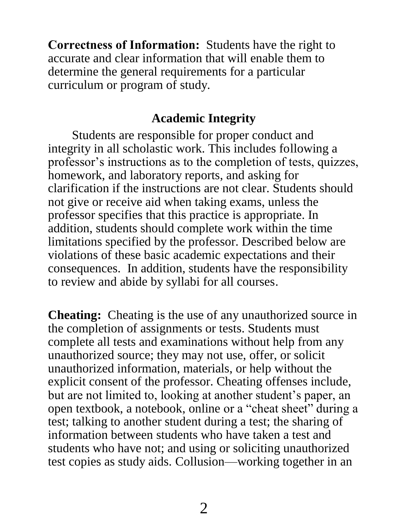**Correctness of Information:** Students have the right to accurate and clear information that will enable them to determine the general requirements for a particular curriculum or program of study.

## **Academic Integrity**

<span id="page-3-0"></span>Students are responsible for proper conduct and integrity in all scholastic work. This includes following a professor's instructions as to the completion of tests, quizzes, homework, and laboratory reports, and asking for clarification if the instructions are not clear. Students should not give or receive aid when taking exams, unless the professor specifies that this practice is appropriate. In addition, students should complete work within the time limitations specified by the professor. Described below are violations of these basic academic expectations and their consequences. In addition, students have the responsibility to review and abide by syllabi for all courses.

<span id="page-3-1"></span>**Cheating:** Cheating is the use of any unauthorized source in the completion of assignments or tests. Students must complete all tests and examinations without help from any unauthorized source; they may not use, offer, or solicit unauthorized information, materials, or help without the explicit consent of the professor. Cheating offenses include, but are not limited to, looking at another student's paper, an open textbook, a notebook, online or a "cheat sheet" during a test; talking to another student during a test; the sharing of information between students who have taken a test and students who have not; and using or soliciting unauthorized test copies as study aids. Collusion—working together in an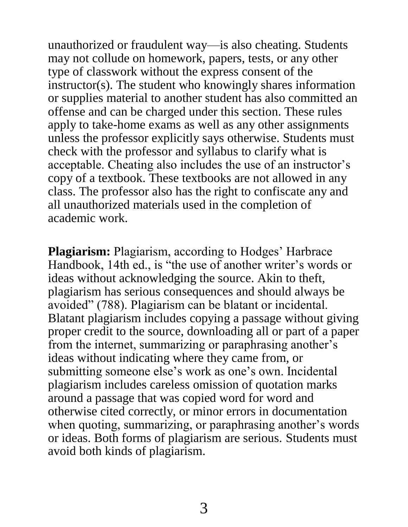unauthorized or fraudulent way—is also cheating. Students may not collude on homework, papers, tests, or any other type of classwork without the express consent of the instructor(s). The student who knowingly shares information or supplies material to another student has also committed an offense and can be charged under this section. These rules apply to take-home exams as well as any other assignments unless the professor explicitly says otherwise. Students must check with the professor and syllabus to clarify what is acceptable. Cheating also includes the use of an instructor's copy of a textbook. These textbooks are not allowed in any class. The professor also has the right to confiscate any and all unauthorized materials used in the completion of academic work.

<span id="page-4-0"></span>**Plagiarism:** Plagiarism, according to Hodges' Harbrace Handbook, 14th ed., is "the use of another writer's words or ideas without acknowledging the source. Akin to theft, plagiarism has serious consequences and should always be avoided" (788). Plagiarism can be blatant or incidental. Blatant plagiarism includes copying a passage without giving proper credit to the source, downloading all or part of a paper from the internet, summarizing or paraphrasing another's ideas without indicating where they came from, or submitting someone else's work as one's own. Incidental plagiarism includes careless omission of quotation marks around a passage that was copied word for word and otherwise cited correctly, or minor errors in documentation when quoting, summarizing, or paraphrasing another's words or ideas. Both forms of plagiarism are serious. Students must avoid both kinds of plagiarism.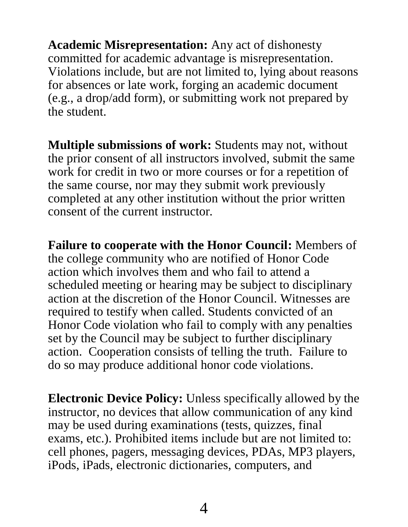<span id="page-5-0"></span>**Academic Misrepresentation:** Any act of dishonesty committed for academic advantage is misrepresentation. Violations include, but are not limited to, lying about reasons for absences or late work, forging an academic document (e.g., a drop/add form), or submitting work not prepared by the student.

<span id="page-5-1"></span>**Multiple submissions of work:** Students may not, without the prior consent of all instructors involved, submit the same work for credit in two or more courses or for a repetition of the same course, nor may they submit work previously completed at any other institution without the prior written consent of the current instructor.

<span id="page-5-2"></span>**Failure to cooperate with the Honor Council:** Members of the college community who are notified of Honor Code action which involves them and who fail to attend a scheduled meeting or hearing may be subject to disciplinary action at the discretion of the Honor Council. Witnesses are required to testify when called. Students convicted of an Honor Code violation who fail to comply with any penalties set by the Council may be subject to further disciplinary action. Cooperation consists of telling the truth. Failure to do so may produce additional honor code violations.

<span id="page-5-3"></span>**Electronic Device Policy:** Unless specifically allowed by the instructor, no devices that allow communication of any kind may be used during examinations (tests, quizzes, final exams, etc.). Prohibited items include but are not limited to: cell phones, pagers, messaging devices, PDAs, MP3 players, iPods, iPads, electronic dictionaries, computers, and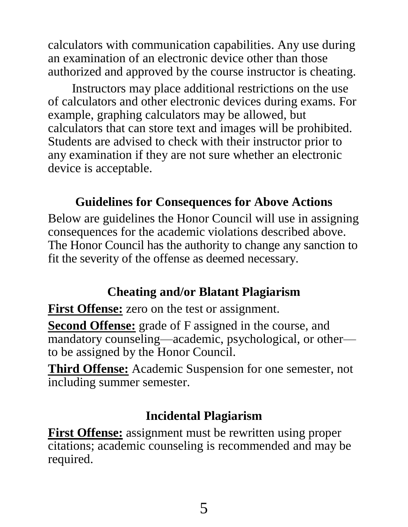calculators with communication capabilities. Any use during an examination of an electronic device other than those authorized and approved by the course instructor is cheating.

Instructors may place additional restrictions on the use of calculators and other electronic devices during exams. For example, graphing calculators may be allowed, but calculators that can store text and images will be prohibited. Students are advised to check with their instructor prior to any examination if they are not sure whether an electronic device is acceptable.

## **Guidelines for Consequences for Above Actions**

<span id="page-6-0"></span>Below are guidelines the Honor Council will use in assigning consequences for the academic violations described above. The Honor Council has the authority to change any sanction to fit the severity of the offense as deemed necessary.

## **Cheating and/or Blatant Plagiarism**

<span id="page-6-1"></span>First Offense: zero on the test or assignment.

**Second Offense:** grade of F assigned in the course, and mandatory counseling—academic, psychological, or other to be assigned by the Honor Council.

**Third Offense:** Academic Suspension for one semester, not including summer semester.

## **Incidental Plagiarism**

<span id="page-6-2"></span>**First Offense:** assignment must be rewritten using proper citations; academic counseling is recommended and may be required.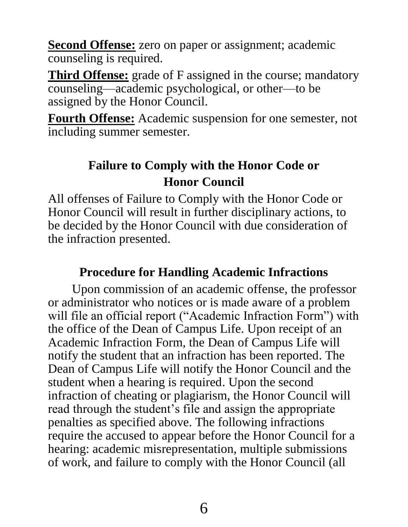**Second Offense:** zero on paper or assignment; academic counseling is required.

**Third Offense:** grade of F assigned in the course; mandatory counseling—academic psychological, or other—to be assigned by the Honor Council.

**Fourth Offense:** Academic suspension for one semester, not including summer semester.

# <span id="page-7-1"></span>**Failure to Comply with the Honor Code or Honor Council**

<span id="page-7-0"></span>All offenses of Failure to Comply with the Honor Code or Honor Council will result in further disciplinary actions, to be decided by the Honor Council with due consideration of the infraction presented.

# **Procedure for Handling Academic Infractions**

<span id="page-7-2"></span>Upon commission of an academic offense, the professor or administrator who notices or is made aware of a problem will file an official report ("Academic Infraction Form") with the office of the Dean of Campus Life. Upon receipt of an Academic Infraction Form, the Dean of Campus Life will notify the student that an infraction has been reported. The Dean of Campus Life will notify the Honor Council and the student when a hearing is required. Upon the second infraction of cheating or plagiarism, the Honor Council will read through the student's file and assign the appropriate penalties as specified above. The following infractions require the accused to appear before the Honor Council for a hearing: academic misrepresentation, multiple submissions of work, and failure to comply with the Honor Council (all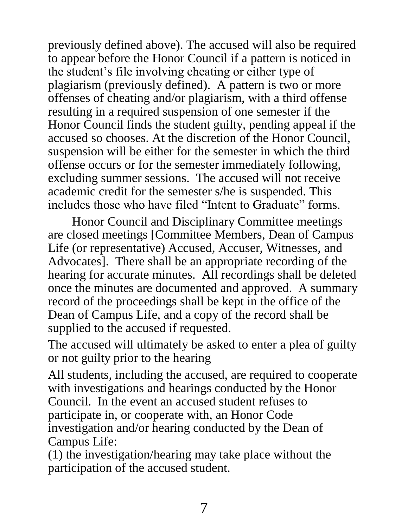previously defined above). The accused will also be required to appear before the Honor Council if a pattern is noticed in the student's file involving cheating or either type of plagiarism (previously defined). A pattern is two or more offenses of cheating and/or plagiarism, with a third offense resulting in a required suspension of one semester if the Honor Council finds the student guilty, pending appeal if the accused so chooses. At the discretion of the Honor Council, suspension will be either for the semester in which the third offense occurs or for the semester immediately following, excluding summer sessions. The accused will not receive academic credit for the semester s/he is suspended. This includes those who have filed "Intent to Graduate" forms.

Honor Council and Disciplinary Committee meetings are closed meetings [Committee Members, Dean of Campus Life (or representative) Accused, Accuser, Witnesses, and Advocates]. There shall be an appropriate recording of the hearing for accurate minutes. All recordings shall be deleted once the minutes are documented and approved. A summary record of the proceedings shall be kept in the office of the Dean of Campus Life, and a copy of the record shall be supplied to the accused if requested.

The accused will ultimately be asked to enter a plea of guilty or not guilty prior to the hearing

All students, including the accused, are required to cooperate with investigations and hearings conducted by the Honor Council. In the event an accused student refuses to participate in, or cooperate with, an Honor Code investigation and/or hearing conducted by the Dean of Campus Life:

(1) the investigation/hearing may take place without the participation of the accused student.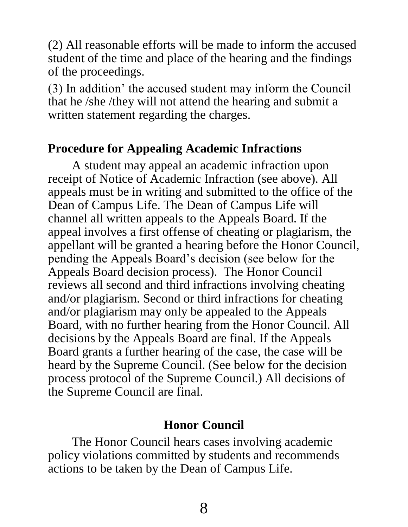(2) All reasonable efforts will be made to inform the accused student of the time and place of the hearing and the findings of the proceedings.

(3) In addition' the accused student may inform the Council that he /she /they will not attend the hearing and submit a written statement regarding the charges.

## <span id="page-9-0"></span>**Procedure for Appealing Academic Infractions**

A student may appeal an academic infraction upon receipt of Notice of Academic Infraction (see above). All appeals must be in writing and submitted to the office of the Dean of Campus Life. The Dean of Campus Life will channel all written appeals to the Appeals Board. If the appeal involves a first offense of cheating or plagiarism, the appellant will be granted a hearing before the Honor Council, pending the Appeals Board's decision (see below for the Appeals Board decision process). The Honor Council reviews all second and third infractions involving cheating and/or plagiarism. Second or third infractions for cheating and/or plagiarism may only be appealed to the Appeals Board, with no further hearing from the Honor Council. All decisions by the Appeals Board are final. If the Appeals Board grants a further hearing of the case, the case will be heard by the Supreme Council. (See below for the decision process protocol of the Supreme Council.) All decisions of the Supreme Council are final.

#### **Honor Council**

<span id="page-9-1"></span>The Honor Council hears cases involving academic policy violations committed by students and recommends actions to be taken by the Dean of Campus Life.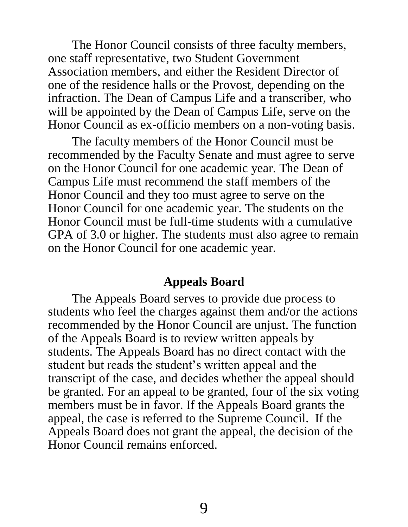The Honor Council consists of three faculty members, one staff representative, two Student Government Association members, and either the Resident Director of one of the residence halls or the Provost, depending on the infraction. The Dean of Campus Life and a transcriber, who will be appointed by the Dean of Campus Life, serve on the Honor Council as ex-officio members on a non-voting basis.

The faculty members of the Honor Council must be recommended by the Faculty Senate and must agree to serve on the Honor Council for one academic year. The Dean of Campus Life must recommend the staff members of the Honor Council and they too must agree to serve on the Honor Council for one academic year. The students on the Honor Council must be full-time students with a cumulative GPA of 3.0 or higher. The students must also agree to remain on the Honor Council for one academic year.

#### **Appeals Board**

<span id="page-10-0"></span>The Appeals Board serves to provide due process to students who feel the charges against them and/or the actions recommended by the Honor Council are unjust. The function of the Appeals Board is to review written appeals by students. The Appeals Board has no direct contact with the student but reads the student's written appeal and the transcript of the case, and decides whether the appeal should be granted. For an appeal to be granted, four of the six voting members must be in favor. If the Appeals Board grants the appeal, the case is referred to the Supreme Council. If the Appeals Board does not grant the appeal, the decision of the Honor Council remains enforced.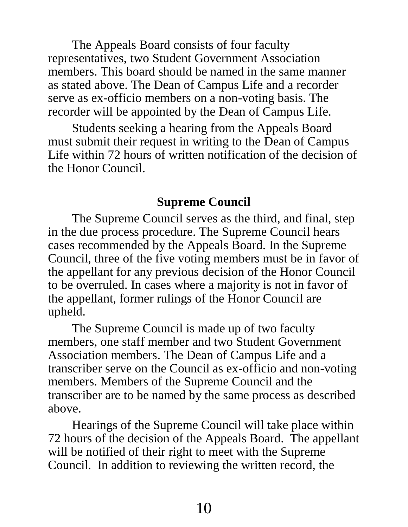The Appeals Board consists of four faculty representatives, two Student Government Association members. This board should be named in the same manner as stated above. The Dean of Campus Life and a recorder serve as ex-officio members on a non-voting basis. The recorder will be appointed by the Dean of Campus Life.

Students seeking a hearing from the Appeals Board must submit their request in writing to the Dean of Campus Life within 72 hours of written notification of the decision of the Honor Council.

### **Supreme Council**

<span id="page-11-0"></span>The Supreme Council serves as the third, and final, step in the due process procedure. The Supreme Council hears cases recommended by the Appeals Board. In the Supreme Council, three of the five voting members must be in favor of the appellant for any previous decision of the Honor Council to be overruled. In cases where a majority is not in favor of the appellant, former rulings of the Honor Council are upheld.

The Supreme Council is made up of two faculty members, one staff member and two Student Government Association members. The Dean of Campus Life and a transcriber serve on the Council as ex-officio and non-voting members. Members of the Supreme Council and the transcriber are to be named by the same process as described above.

Hearings of the Supreme Council will take place within 72 hours of the decision of the Appeals Board. The appellant will be notified of their right to meet with the Supreme Council. In addition to reviewing the written record, the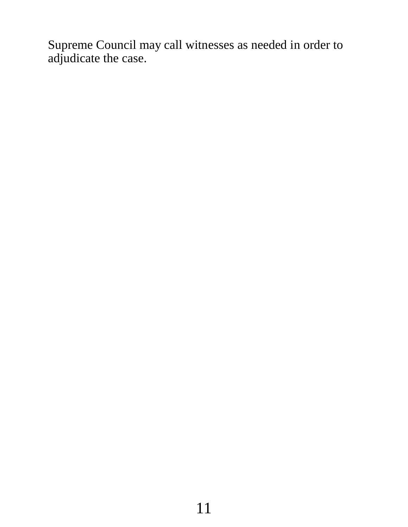Supreme Council may call witnesses as needed in order to adjudicate the case.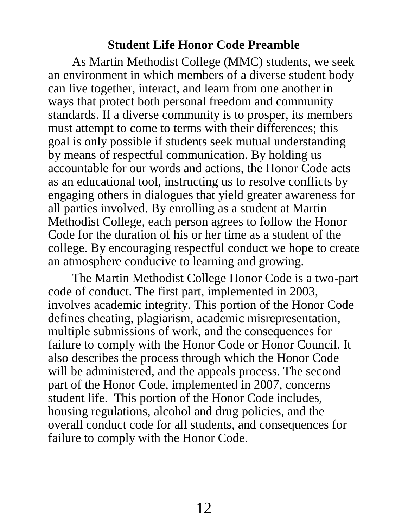### **Student Life Honor Code Preamble**

<span id="page-13-0"></span>As Martin Methodist College (MMC) students, we seek an environment in which members of a diverse student body can live together, interact, and learn from one another in ways that protect both personal freedom and community standards. If a diverse community is to prosper, its members must attempt to come to terms with their differences; this goal is only possible if students seek mutual understanding by means of respectful communication. By holding us accountable for our words and actions, the Honor Code acts as an educational tool, instructing us to resolve conflicts by engaging others in dialogues that yield greater awareness for all parties involved. By enrolling as a student at Martin Methodist College, each person agrees to follow the Honor Code for the duration of his or her time as a student of the college. By encouraging respectful conduct we hope to create an atmosphere conducive to learning and growing.

The Martin Methodist College Honor Code is a two-part code of conduct. The first part, implemented in 2003, involves academic integrity. This portion of the Honor Code defines cheating, plagiarism, academic misrepresentation, multiple submissions of work, and the consequences for failure to comply with the Honor Code or Honor Council. It also describes the process through which the Honor Code will be administered, and the appeals process. The second part of the Honor Code, implemented in 2007, concerns student life. This portion of the Honor Code includes, housing regulations, alcohol and drug policies, and the overall conduct code for all students, and consequences for failure to comply with the Honor Code.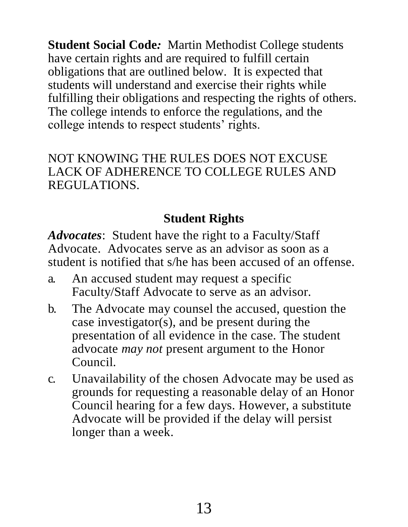<span id="page-14-0"></span>**Student Social Code***:* Martin Methodist College students have certain rights and are required to fulfill certain obligations that are outlined below. It is expected that students will understand and exercise their rights while fulfilling their obligations and respecting the rights of others. The college intends to enforce the regulations, and the college intends to respect students' rights.

NOT KNOWING THE RULES DOES NOT EXCUSE LACK OF ADHERENCE TO COLLEGE RULES AND REGULATIONS.

# **Student Rights**

<span id="page-14-1"></span>*Advocates*: Student have the right to a Faculty/Staff Advocate. Advocates serve as an advisor as soon as a student is notified that s/he has been accused of an offense.

- a. An accused student may request a specific Faculty/Staff Advocate to serve as an advisor.
- b. The Advocate may counsel the accused, question the case investigator(s), and be present during the presentation of all evidence in the case. The student advocate *may not* present argument to the Honor Council.
- c. Unavailability of the chosen Advocate may be used as grounds for requesting a reasonable delay of an Honor Council hearing for a few days. However, a substitute Advocate will be provided if the delay will persist longer than a week.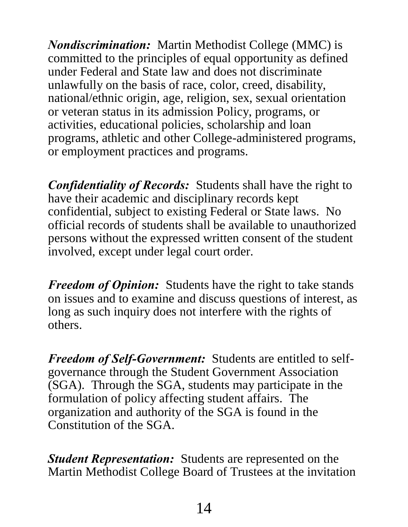*Nondiscrimination:* Martin Methodist College (MMC) is committed to the principles of equal opportunity as defined under Federal and State law and does not discriminate unlawfully on the basis of race, color, creed, disability, national/ethnic origin, age, religion, sex, sexual orientation or veteran status in its admission Policy, programs, or activities, educational policies, scholarship and loan programs, athletic and other College-administered programs, or employment practices and programs.

*Confidentiality of Records:* Students shall have the right to have their academic and disciplinary records kept confidential, subject to existing Federal or State laws. No official records of students shall be available to unauthorized persons without the expressed written consent of the student involved, except under legal court order.

*Freedom of Opinion:* Students have the right to take stands on issues and to examine and discuss questions of interest, as long as such inquiry does not interfere with the rights of others.

*Freedom of Self-Government:* Students are entitled to selfgovernance through the Student Government Association (SGA). Through the SGA, students may participate in the formulation of policy affecting student affairs. The organization and authority of the SGA is found in the Constitution of the SGA.

*Student Representation:* Students are represented on the Martin Methodist College Board of Trustees at the invitation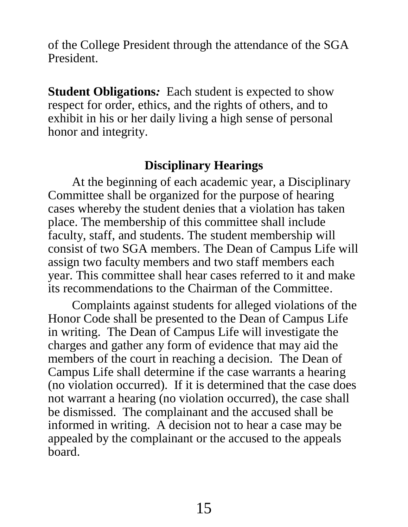of the College President through the attendance of the SGA President.

<span id="page-16-0"></span>**Student Obligations***:* Each student is expected to show respect for order, ethics, and the rights of others, and to exhibit in his or her daily living a high sense of personal honor and integrity.

# **Disciplinary Hearings**

<span id="page-16-1"></span>At the beginning of each academic year, a Disciplinary Committee shall be organized for the purpose of hearing cases whereby the student denies that a violation has taken place. The membership of this committee shall include faculty, staff, and students. The student membership will consist of two SGA members. The Dean of Campus Life will assign two faculty members and two staff members each year. This committee shall hear cases referred to it and make its recommendations to the Chairman of the Committee.

Complaints against students for alleged violations of the Honor Code shall be presented to the Dean of Campus Life in writing. The Dean of Campus Life will investigate the charges and gather any form of evidence that may aid the members of the court in reaching a decision. The Dean of Campus Life shall determine if the case warrants a hearing (no violation occurred). If it is determined that the case does not warrant a hearing (no violation occurred), the case shall be dismissed. The complainant and the accused shall be informed in writing. A decision not to hear a case may be appealed by the complainant or the accused to the appeals board.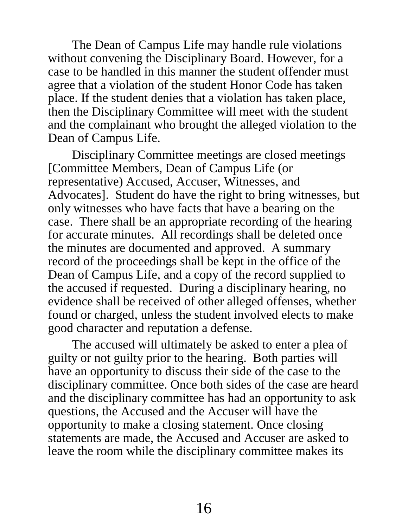The Dean of Campus Life may handle rule violations without convening the Disciplinary Board. However, for a case to be handled in this manner the student offender must agree that a violation of the student Honor Code has taken place. If the student denies that a violation has taken place, then the Disciplinary Committee will meet with the student and the complainant who brought the alleged violation to the Dean of Campus Life.

Disciplinary Committee meetings are closed meetings [Committee Members, Dean of Campus Life (or representative) Accused, Accuser, Witnesses, and Advocates]. Student do have the right to bring witnesses, but only witnesses who have facts that have a bearing on the case. There shall be an appropriate recording of the hearing for accurate minutes. All recordings shall be deleted once the minutes are documented and approved. A summary record of the proceedings shall be kept in the office of the Dean of Campus Life, and a copy of the record supplied to the accused if requested. During a disciplinary hearing, no evidence shall be received of other alleged offenses, whether found or charged, unless the student involved elects to make good character and reputation a defense.

The accused will ultimately be asked to enter a plea of guilty or not guilty prior to the hearing. Both parties will have an opportunity to discuss their side of the case to the disciplinary committee. Once both sides of the case are heard and the disciplinary committee has had an opportunity to ask questions, the Accused and the Accuser will have the opportunity to make a closing statement. Once closing statements are made, the Accused and Accuser are asked to leave the room while the disciplinary committee makes its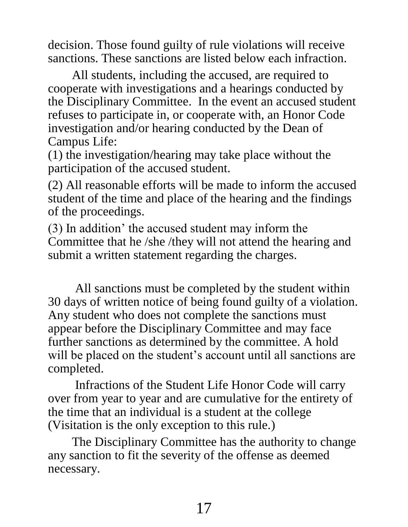decision. Those found guilty of rule violations will receive sanctions. These sanctions are listed below each infraction.

All students, including the accused, are required to cooperate with investigations and a hearings conducted by the Disciplinary Committee. In the event an accused student refuses to participate in, or cooperate with, an Honor Code investigation and/or hearing conducted by the Dean of Campus Life:

(1) the investigation/hearing may take place without the participation of the accused student.

(2) All reasonable efforts will be made to inform the accused student of the time and place of the hearing and the findings of the proceedings.

(3) In addition' the accused student may inform the Committee that he /she /they will not attend the hearing and submit a written statement regarding the charges.

All sanctions must be completed by the student within 30 days of written notice of being found guilty of a violation. Any student who does not complete the sanctions must appear before the Disciplinary Committee and may face further sanctions as determined by the committee. A hold will be placed on the student's account until all sanctions are completed.

Infractions of the Student Life Honor Code will carry over from year to year and are cumulative for the entirety of the time that an individual is a student at the college (Visitation is the only exception to this rule.)

The Disciplinary Committee has the authority to change any sanction to fit the severity of the offense as deemed necessary.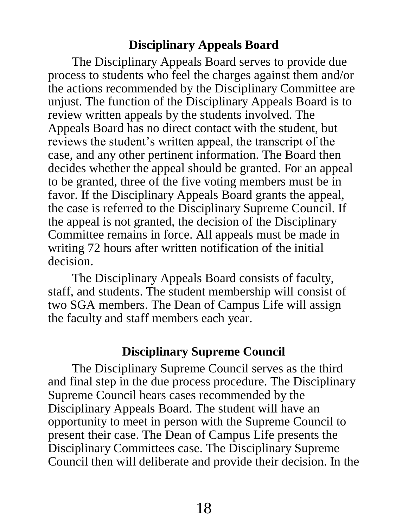## **Disciplinary Appeals Board**

<span id="page-19-0"></span>The Disciplinary Appeals Board serves to provide due process to students who feel the charges against them and/or the actions recommended by the Disciplinary Committee are unjust. The function of the Disciplinary Appeals Board is to review written appeals by the students involved. The Appeals Board has no direct contact with the student, but reviews the student's written appeal, the transcript of the case, and any other pertinent information. The Board then decides whether the appeal should be granted. For an appeal to be granted, three of the five voting members must be in favor. If the Disciplinary Appeals Board grants the appeal, the case is referred to the Disciplinary Supreme Council. If the appeal is not granted, the decision of the Disciplinary Committee remains in force. All appeals must be made in writing 72 hours after written notification of the initial decision.

The Disciplinary Appeals Board consists of faculty, staff, and students. The student membership will consist of two SGA members. The Dean of Campus Life will assign the faculty and staff members each year.

## **Disciplinary Supreme Council**

<span id="page-19-1"></span>The Disciplinary Supreme Council serves as the third and final step in the due process procedure. The Disciplinary Supreme Council hears cases recommended by the Disciplinary Appeals Board. The student will have an opportunity to meet in person with the Supreme Council to present their case. The Dean of Campus Life presents the Disciplinary Committees case. The Disciplinary Supreme Council then will deliberate and provide their decision. In the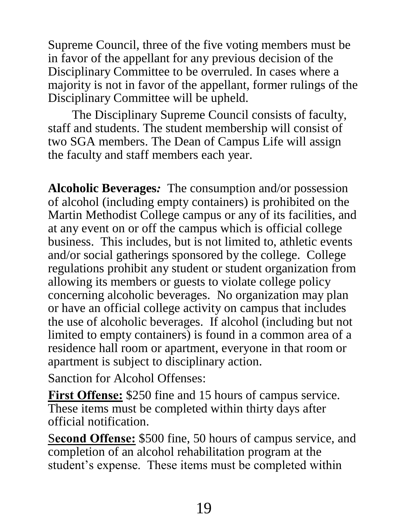Supreme Council, three of the five voting members must be in favor of the appellant for any previous decision of the Disciplinary Committee to be overruled. In cases where a majority is not in favor of the appellant, former rulings of the Disciplinary Committee will be upheld.

The Disciplinary Supreme Council consists of faculty, staff and students. The student membership will consist of two SGA members. The Dean of Campus Life will assign the faculty and staff members each year.

<span id="page-20-0"></span>**Alcoholic Beverages***:* The consumption and/or possession of alcohol (including empty containers) is prohibited on the Martin Methodist College campus or any of its facilities, and at any event on or off the campus which is official college business. This includes, but is not limited to, athletic events and/or social gatherings sponsored by the college. College regulations prohibit any student or student organization from allowing its members or guests to violate college policy concerning alcoholic beverages. No organization may plan or have an official college activity on campus that includes the use of alcoholic beverages. If alcohol (including but not limited to empty containers) is found in a common area of a residence hall room or apartment, everyone in that room or apartment is subject to disciplinary action.

Sanction for Alcohol Offenses:

**First Offense:** \$250 fine and 15 hours of campus service. These items must be completed within thirty days after official notification.

S**econd Offense:** \$500 fine, 50 hours of campus service, and completion of an alcohol rehabilitation program at the student's expense. These items must be completed within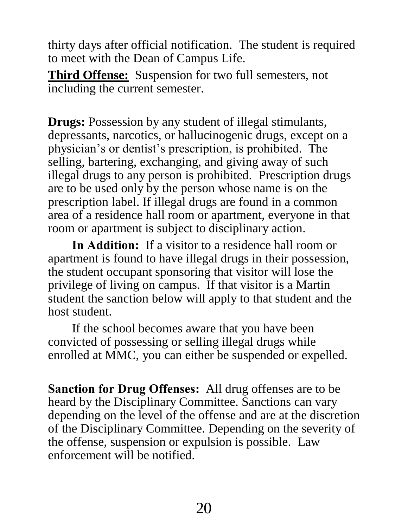thirty days after official notification. The student is required to meet with the Dean of Campus Life.

**Third Offense:** Suspension for two full semesters, not including the current semester.

<span id="page-21-0"></span>**Drugs:** Possession by any student of illegal stimulants, depressants, narcotics, or hallucinogenic drugs, except on a physician's or dentist's prescription, is prohibited. The selling, bartering, exchanging, and giving away of such illegal drugs to any person is prohibited. Prescription drugs are to be used only by the person whose name is on the prescription label. If illegal drugs are found in a common area of a residence hall room or apartment, everyone in that room or apartment is subject to disciplinary action.

**In Addition:** If a visitor to a residence hall room or apartment is found to have illegal drugs in their possession, the student occupant sponsoring that visitor will lose the privilege of living on campus. If that visitor is a Martin student the sanction below will apply to that student and the host student.

If the school becomes aware that you have been convicted of possessing or selling illegal drugs while enrolled at MMC, you can either be suspended or expelled.

**Sanction for Drug Offenses:** All drug offenses are to be heard by the Disciplinary Committee. Sanctions can vary depending on the level of the offense and are at the discretion of the Disciplinary Committee. Depending on the severity of the offense, suspension or expulsion is possible. Law enforcement will be notified.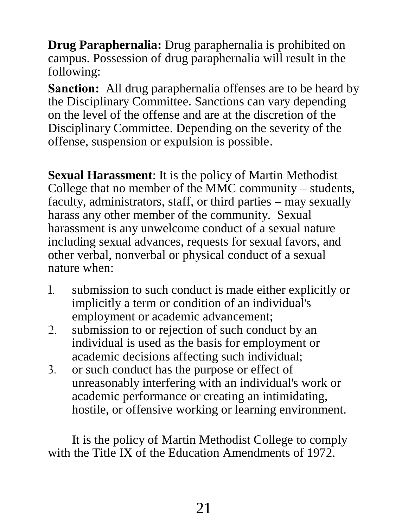<span id="page-22-0"></span>**Drug Paraphernalia:** Drug paraphernalia is prohibited on campus. Possession of drug paraphernalia will result in the following:

**Sanction:** All drug paraphernalia offenses are to be heard by the Disciplinary Committee. Sanctions can vary depending on the level of the offense and are at the discretion of the Disciplinary Committee. Depending on the severity of the offense, suspension or expulsion is possible.

<span id="page-22-1"></span>**Sexual Harassment**: It is the policy of Martin Methodist College that no member of the MMC community – students, faculty, administrators, staff, or third parties – may sexually harass any other member of the community. Sexual harassment is any unwelcome conduct of a sexual nature including sexual advances, requests for sexual favors, and other verbal, nonverbal or physical conduct of a sexual nature when:

- 1. submission to such conduct is made either explicitly or implicitly a term or condition of an individual's employment or academic advancement;
- 2. submission to or rejection of such conduct by an individual is used as the basis for employment or academic decisions affecting such individual;
- 3. or such conduct has the purpose or effect of unreasonably interfering with an individual's work or academic performance or creating an intimidating, hostile, or offensive working or learning environment.

It is the policy of Martin Methodist College to comply with the Title IX of the Education Amendments of 1972.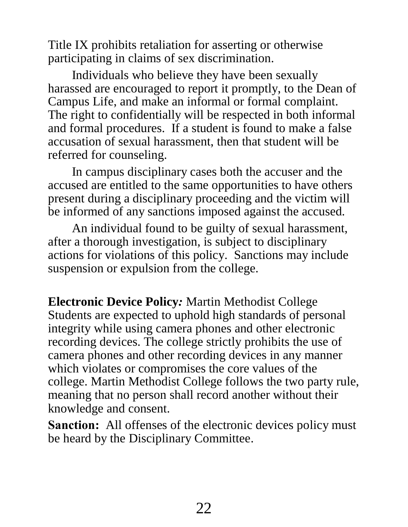Title IX prohibits retaliation for asserting or otherwise participating in claims of sex discrimination.

Individuals who believe they have been sexually harassed are encouraged to report it promptly, to the Dean of Campus Life, and make an informal or formal complaint. The right to confidentially will be respected in both informal and formal procedures. If a student is found to make a false accusation of sexual harassment, then that student will be referred for counseling.

In campus disciplinary cases both the accuser and the accused are entitled to the same opportunities to have others present during a disciplinary proceeding and the victim will be informed of any sanctions imposed against the accused.

An individual found to be guilty of sexual harassment, after a thorough investigation, is subject to disciplinary actions for violations of this policy. Sanctions may include suspension or expulsion from the college.

<span id="page-23-0"></span>**Electronic Device Policy***:* Martin Methodist College Students are expected to uphold high standards of personal integrity while using camera phones and other electronic recording devices. The college strictly prohibits the use of camera phones and other recording devices in any manner which violates or compromises the core values of the college. Martin Methodist College follows the two party rule, meaning that no person shall record another without their knowledge and consent.

**Sanction:** All offenses of the electronic devices policy must be heard by the Disciplinary Committee.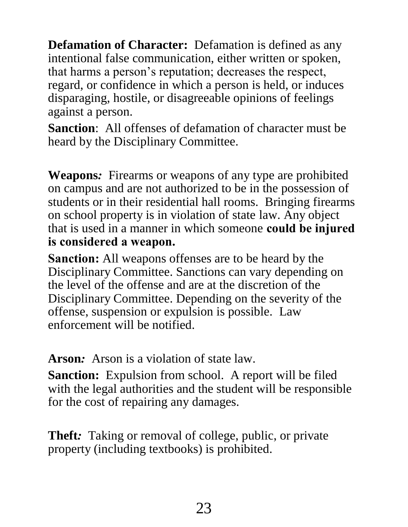<span id="page-24-0"></span>**Defamation of Character:** Defamation is defined as any intentional false communication, either written or spoken, that harms a person's reputation; decreases the respect, regard, or confidence in which a person is held, or induces disparaging, hostile, or disagreeable opinions of feelings against a person.

**Sanction**: All offenses of defamation of character must be heard by the Disciplinary Committee.

<span id="page-24-1"></span>**Weapons***:* Firearms or weapons of any type are prohibited on campus and are not authorized to be in the possession of students or in their residential hall rooms. Bringing firearms on school property is in violation of state law. Any object that is used in a manner in which someone **could be injured is considered a weapon.**

**Sanction:** All weapons offenses are to be heard by the Disciplinary Committee. Sanctions can vary depending on the level of the offense and are at the discretion of the Disciplinary Committee. Depending on the severity of the offense, suspension or expulsion is possible. Law enforcement will be notified.

<span id="page-24-2"></span>**Arson***:* Arson is a violation of state law.

**Sanction:** Expulsion from school. A report will be filed with the legal authorities and the student will be responsible for the cost of repairing any damages.

<span id="page-24-3"></span>**Theft***:* Taking or removal of college, public, or private property (including textbooks) is prohibited.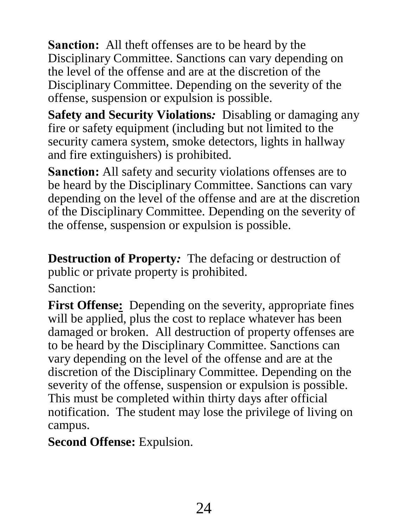**Sanction:** All theft offenses are to be heard by the Disciplinary Committee. Sanctions can vary depending on the level of the offense and are at the discretion of the Disciplinary Committee. Depending on the severity of the offense, suspension or expulsion is possible.

<span id="page-25-0"></span>**Safety and Security Violations***:* Disabling or damaging any fire or safety equipment (including but not limited to the security camera system, smoke detectors, lights in hallway and fire extinguishers) is prohibited.

**Sanction:** All safety and security violations offenses are to be heard by the Disciplinary Committee. Sanctions can vary depending on the level of the offense and are at the discretion of the Disciplinary Committee. Depending on the severity of the offense, suspension or expulsion is possible.

<span id="page-25-1"></span>**Destruction of Property***:* The defacing or destruction of public or private property is prohibited.

Sanction:

First Offense: Depending on the severity, appropriate fines will be applied, plus the cost to replace whatever has been damaged or broken. All destruction of property offenses are to be heard by the Disciplinary Committee. Sanctions can vary depending on the level of the offense and are at the discretion of the Disciplinary Committee. Depending on the severity of the offense, suspension or expulsion is possible. This must be completed within thirty days after official notification. The student may lose the privilege of living on campus.

**Second Offense:** Expulsion.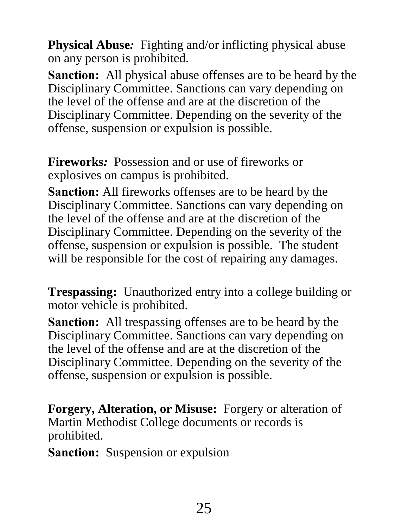<span id="page-26-0"></span>**Physical Abuse***:* Fighting and/or inflicting physical abuse on any person is prohibited.

**Sanction:** All physical abuse offenses are to be heard by the Disciplinary Committee. Sanctions can vary depending on the level of the offense and are at the discretion of the Disciplinary Committee. Depending on the severity of the offense, suspension or expulsion is possible.

<span id="page-26-1"></span>**Fireworks***:* Possession and or use of fireworks or explosives on campus is prohibited.

**Sanction:** All fireworks offenses are to be heard by the Disciplinary Committee. Sanctions can vary depending on the level of the offense and are at the discretion of the Disciplinary Committee. Depending on the severity of the offense, suspension or expulsion is possible. The student will be responsible for the cost of repairing any damages.

<span id="page-26-2"></span>**Trespassing:** Unauthorized entry into a college building or motor vehicle is prohibited.

**Sanction:** All trespassing offenses are to be heard by the Disciplinary Committee. Sanctions can vary depending on the level of the offense and are at the discretion of the Disciplinary Committee. Depending on the severity of the offense, suspension or expulsion is possible.

<span id="page-26-3"></span>**Forgery, Alteration, or Misuse:** Forgery or alteration of Martin Methodist College documents or records is prohibited.

**Sanction:** Suspension or expulsion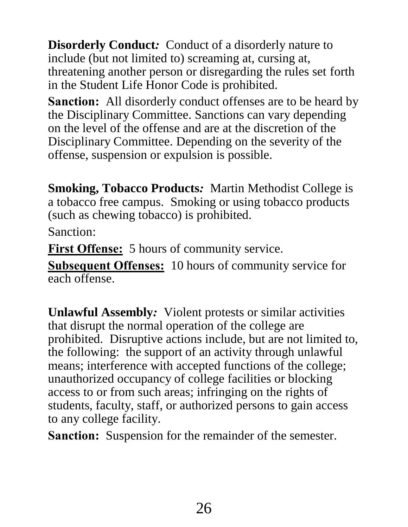<span id="page-27-0"></span>**Disorderly Conduct***:* Conduct of a disorderly nature to include (but not limited to) screaming at, cursing at, threatening another person or disregarding the rules set forth in the Student Life Honor Code is prohibited.

**Sanction:** All disorderly conduct offenses are to be heard by the Disciplinary Committee. Sanctions can vary depending on the level of the offense and are at the discretion of the Disciplinary Committee. Depending on the severity of the offense, suspension or expulsion is possible.

<span id="page-27-1"></span>**Smoking, Tobacco Products***:* Martin Methodist College is a tobacco free campus. Smoking or using tobacco products (such as chewing tobacco) is prohibited. Sanction:

**First Offense:** 5 hours of community service.

**Subsequent Offenses:** 10 hours of community service for each offense.

<span id="page-27-2"></span>**Unlawful Assembly***:* Violent protests or similar activities that disrupt the normal operation of the college are prohibited. Disruptive actions include, but are not limited to, the following: the support of an activity through unlawful means; interference with accepted functions of the college; unauthorized occupancy of college facilities or blocking access to or from such areas; infringing on the rights of students, faculty, staff, or authorized persons to gain access to any college facility.

**Sanction:** Suspension for the remainder of the semester.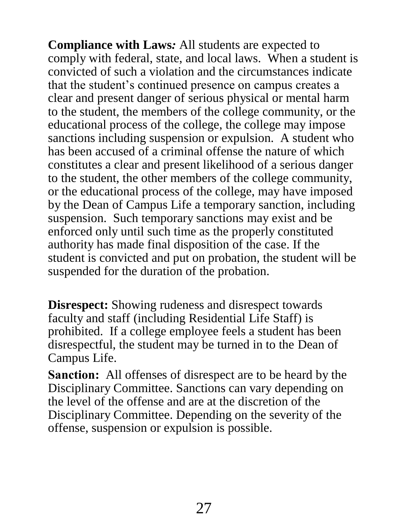<span id="page-28-0"></span>**Compliance with Laws***:* All students are expected to comply with federal, state, and local laws. When a student is convicted of such a violation and the circumstances indicate that the student's continued presence on campus creates a clear and present danger of serious physical or mental harm to the student, the members of the college community, or the educational process of the college, the college may impose sanctions including suspension or expulsion. A student who has been accused of a criminal offense the nature of which constitutes a clear and present likelihood of a serious danger to the student, the other members of the college community, or the educational process of the college, may have imposed by the Dean of Campus Life a temporary sanction, including suspension. Such temporary sanctions may exist and be enforced only until such time as the properly constituted authority has made final disposition of the case. If the student is convicted and put on probation, the student will be suspended for the duration of the probation.

<span id="page-28-1"></span>**Disrespect:** Showing rudeness and disrespect towards faculty and staff (including Residential Life Staff) is prohibited. If a college employee feels a student has been disrespectful, the student may be turned in to the Dean of Campus Life.

**Sanction:** All offenses of disrespect are to be heard by the Disciplinary Committee. Sanctions can vary depending on the level of the offense and are at the discretion of the Disciplinary Committee. Depending on the severity of the offense, suspension or expulsion is possible.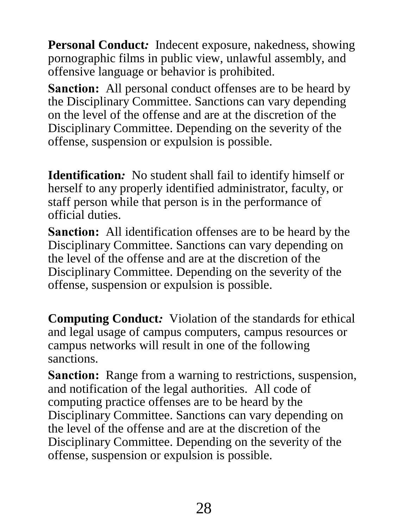<span id="page-29-0"></span>**Personal Conduct***:* Indecent exposure, nakedness, showing pornographic films in public view, unlawful assembly, and offensive language or behavior is prohibited.

**Sanction:** All personal conduct offenses are to be heard by the Disciplinary Committee. Sanctions can vary depending on the level of the offense and are at the discretion of the Disciplinary Committee. Depending on the severity of the offense, suspension or expulsion is possible.

<span id="page-29-1"></span>**Identification***:* No student shall fail to identify himself or herself to any properly identified administrator, faculty, or staff person while that person is in the performance of official duties.

**Sanction:** All identification offenses are to be heard by the Disciplinary Committee. Sanctions can vary depending on the level of the offense and are at the discretion of the Disciplinary Committee. Depending on the severity of the offense, suspension or expulsion is possible.

<span id="page-29-2"></span>**Computing Conduct***:* Violation of the standards for ethical and legal usage of campus computers, campus resources or campus networks will result in one of the following sanctions.

**Sanction:** Range from a warning to restrictions, suspension, and notification of the legal authorities. All code of computing practice offenses are to be heard by the Disciplinary Committee. Sanctions can vary depending on the level of the offense and are at the discretion of the Disciplinary Committee. Depending on the severity of the offense, suspension or expulsion is possible.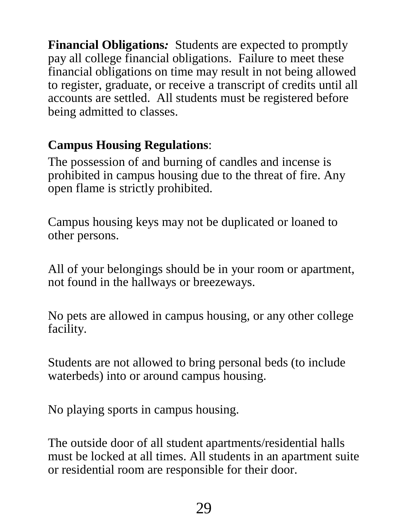<span id="page-30-0"></span>**Financial Obligations***:* Students are expected to promptly pay all college financial obligations. Failure to meet these financial obligations on time may result in not being allowed to register, graduate, or receive a transcript of credits until all accounts are settled. All students must be registered before being admitted to classes.

# <span id="page-30-1"></span>**Campus Housing Regulations**:

The possession of and burning of candles and incense is prohibited in campus housing due to the threat of fire. Any open flame is strictly prohibited.

Campus housing keys may not be duplicated or loaned to other persons.

All of your belongings should be in your room or apartment, not found in the hallways or breezeways.

No pets are allowed in campus housing, or any other college facility.

Students are not allowed to bring personal beds (to include waterbeds) into or around campus housing.

No playing sports in campus housing.

The outside door of all student apartments/residential halls must be locked at all times. All students in an apartment suite or residential room are responsible for their door.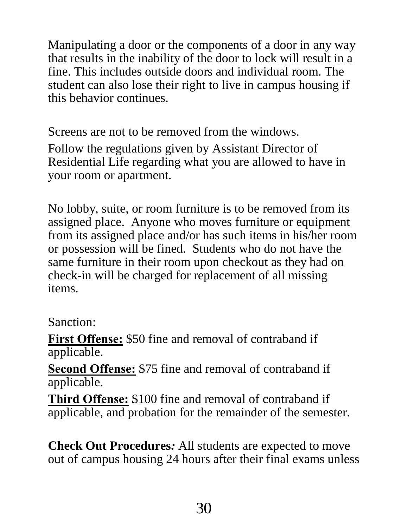Manipulating a door or the components of a door in any way that results in the inability of the door to lock will result in a fine. This includes outside doors and individual room. The student can also lose their right to live in campus housing if this behavior continues.

Screens are not to be removed from the windows.

Follow the regulations given by Assistant Director of Residential Life regarding what you are allowed to have in your room or apartment.

No lobby, suite, or room furniture is to be removed from its assigned place. Anyone who moves furniture or equipment from its assigned place and/or has such items in his/her room or possession will be fined. Students who do not have the same furniture in their room upon checkout as they had on check-in will be charged for replacement of all missing items.

## Sanction:

**First Offense:** \$50 fine and removal of contraband if applicable.

**Second Offense:** \$75 fine and removal of contraband if applicable.

**Third Offense:** \$100 fine and removal of contraband if applicable, and probation for the remainder of the semester.

<span id="page-31-0"></span>**Check Out Procedures***:* All students are expected to move out of campus housing 24 hours after their final exams unless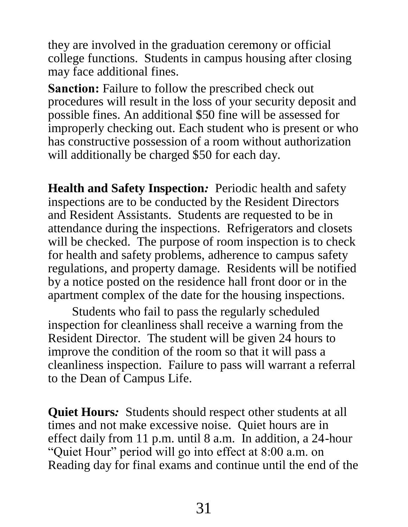they are involved in the graduation ceremony or official college functions. Students in campus housing after closing may face additional fines.

**Sanction:** Failure to follow the prescribed check out procedures will result in the loss of your security deposit and possible fines. An additional \$50 fine will be assessed for improperly checking out. Each student who is present or who has constructive possession of a room without authorization will additionally be charged \$50 for each day.

<span id="page-32-0"></span>**Health and Safety Inspection***:* Periodic health and safety inspections are to be conducted by the Resident Directors and Resident Assistants. Students are requested to be in attendance during the inspections. Refrigerators and closets will be checked. The purpose of room inspection is to check for health and safety problems, adherence to campus safety regulations, and property damage. Residents will be notified by a notice posted on the residence hall front door or in the apartment complex of the date for the housing inspections.

Students who fail to pass the regularly scheduled inspection for cleanliness shall receive a warning from the Resident Director. The student will be given 24 hours to improve the condition of the room so that it will pass a cleanliness inspection. Failure to pass will warrant a referral to the Dean of Campus Life.

<span id="page-32-1"></span>**Quiet Hours***:* Students should respect other students at all times and not make excessive noise. Quiet hours are in effect daily from 11 p.m. until 8 a.m. In addition, a 24-hour "Quiet Hour" period will go into effect at 8:00 a.m. on Reading day for final exams and continue until the end of the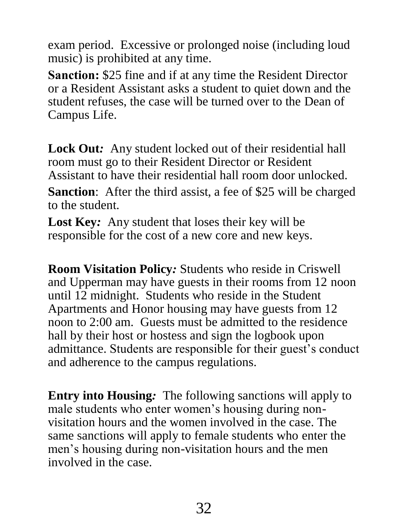exam period. Excessive or prolonged noise (including loud music) is prohibited at any time.

**Sanction:** \$25 fine and if at any time the Resident Director or a Resident Assistant asks a student to quiet down and the student refuses, the case will be turned over to the Dean of Campus Life.

<span id="page-33-0"></span>Lock Out: Any student locked out of their residential hall room must go to their Resident Director or Resident Assistant to have their residential hall room door unlocked. **Sanction:** After the third assist, a fee of \$25 will be charged to the student.

<span id="page-33-1"></span>**Lost Key***:* Any student that loses their key will be responsible for the cost of a new core and new keys.

<span id="page-33-2"></span>**Room Visitation Policy***:* Students who reside in Criswell and Upperman may have guests in their rooms from 12 noon until 12 midnight. Students who reside in the Student Apartments and Honor housing may have guests from 12 noon to 2:00 am. Guests must be admitted to the residence hall by their host or hostess and sign the logbook upon admittance. Students are responsible for their guest's conduct and adherence to the campus regulations.

<span id="page-33-3"></span>**Entry into Housing***:* The following sanctions will apply to male students who enter women's housing during nonvisitation hours and the women involved in the case. The same sanctions will apply to female students who enter the men's housing during non-visitation hours and the men involved in the case.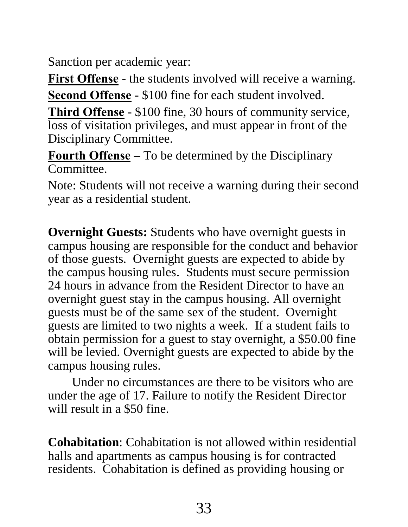Sanction per academic year:

**First Offense** - the students involved will receive a warning.

**Second Offense** - \$100 fine for each student involved.

**Third Offense** - \$100 fine, 30 hours of community service, loss of visitation privileges, and must appear in front of the Disciplinary Committee.

**Fourth Offense** – To be determined by the Disciplinary Committee.

Note: Students will not receive a warning during their second year as a residential student.

<span id="page-34-0"></span>**Overnight Guests:** Students who have overnight guests in campus housing are responsible for the conduct and behavior of those guests. Overnight guests are expected to abide by the campus housing rules. Students must secure permission 24 hours in advance from the Resident Director to have an overnight guest stay in the campus housing. All overnight guests must be of the same sex of the student. Overnight guests are limited to two nights a week. If a student fails to obtain permission for a guest to stay overnight, a \$50.00 fine will be levied. Overnight guests are expected to abide by the campus housing rules.

Under no circumstances are there to be visitors who are under the age of 17. Failure to notify the Resident Director will result in a \$50 fine.

**Cohabitation**: Cohabitation is not allowed within residential halls and apartments as campus housing is for contracted residents. Cohabitation is defined as providing housing or